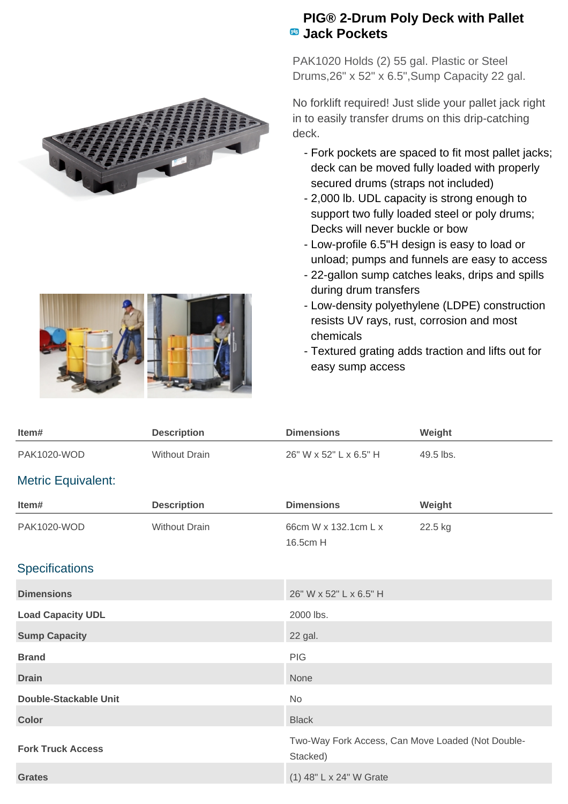

## **PIG® 2-Drum Poly Deck with Pallet Jack Pockets**

PAK1020 Holds (2) 55 gal. Plastic or Steel Drums,26" x 52" x 6.5",Sump Capacity 22 gal.

No forklift required! Just slide your pallet jack right in to easily transfer drums on this drip-catching deck.

- Fork pockets are spaced to fit most pallet jacks; deck can be moved fully loaded with properly secured drums (straps not included)
- 2,000 lb. UDL capacity is strong enough to support two fully loaded steel or poly drums; Decks will never buckle or bow
- Low-profile 6.5"H design is easy to load or unload; pumps and funnels are easy to access
- 22-gallon sump catches leaks, drips and spills during drum transfers
- Low-density polyethylene (LDPE) construction resists UV rays, rust, corrosion and most chemicals
- Textured grating adds traction and lifts out for easy sump access

| Item#                     | <b>Description</b>   | <b>Dimensions</b>                                             | Weight    |
|---------------------------|----------------------|---------------------------------------------------------------|-----------|
| <b>PAK1020-WOD</b>        | <b>Without Drain</b> | 26" W x 52" L x 6.5" H                                        | 49.5 lbs. |
| <b>Metric Equivalent:</b> |                      |                                                               |           |
| Item#                     | <b>Description</b>   | <b>Dimensions</b>                                             | Weight    |
| <b>PAK1020-WOD</b>        | <b>Without Drain</b> | 66cm W x 132.1cm L x<br>16.5cm H                              | 22.5 kg   |
| <b>Specifications</b>     |                      |                                                               |           |
| <b>Dimensions</b>         |                      | 26" W x 52" L x 6.5" H                                        |           |
| <b>Load Capacity UDL</b>  |                      | 2000 lbs.                                                     |           |
| <b>Sump Capacity</b>      |                      | 22 gal.                                                       |           |
| <b>Brand</b>              |                      | <b>PIG</b>                                                    |           |
| <b>Drain</b>              |                      | None                                                          |           |
| Double-Stackable Unit     |                      | <b>No</b>                                                     |           |
| <b>Color</b>              |                      | <b>Black</b>                                                  |           |
| <b>Fork Truck Access</b>  |                      | Two-Way Fork Access, Can Move Loaded (Not Double-<br>Stacked) |           |
| <b>Grates</b>             |                      | (1) 48" L x 24" W Grate                                       |           |